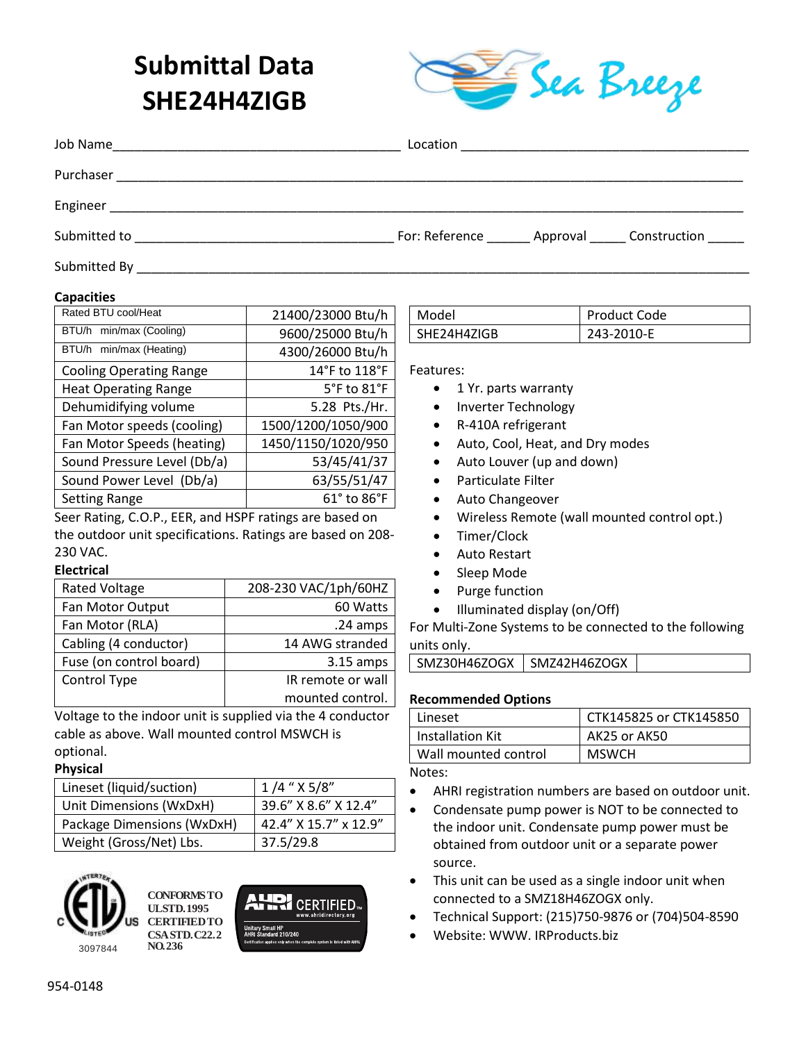# **Submittal Data SHE24H4ZIGB**



| Job Name<br><u> 1989 - Johann Harry Harry Harry Harry Harry Harry Harry Harry Harry Harry Harry Harry Harry Harry Harry Harry</u> |                                                     |
|-----------------------------------------------------------------------------------------------------------------------------------|-----------------------------------------------------|
| Purchaser                                                                                                                         |                                                     |
| Engineer                                                                                                                          |                                                     |
| Submitted to                                                                                                                      | For: Reference _______ Approval ______ Construction |
| Submitted By                                                                                                                      |                                                     |

#### **Capacities**

| Rated BTU cool/Heat            | 21400/23000 Btu/h  |  |
|--------------------------------|--------------------|--|
| BTU/h min/max (Cooling)        | 9600/25000 Btu/h   |  |
| BTU/h min/max (Heating)        | 4300/26000 Btu/h   |  |
| <b>Cooling Operating Range</b> | 14°F to 118°F      |  |
| <b>Heat Operating Range</b>    | 5°F to 81°F        |  |
| Dehumidifying volume           | 5.28 Pts./Hr.      |  |
| Fan Motor speeds (cooling)     | 1500/1200/1050/900 |  |
| Fan Motor Speeds (heating)     | 1450/1150/1020/950 |  |
| Sound Pressure Level (Db/a)    | 53/45/41/37        |  |
| Sound Power Level (Db/a)       | 63/55/51/47        |  |
| <b>Setting Range</b>           | 61° to 86°F        |  |
| .                              |                    |  |

Seer Rating, C.O.P., EER, and HSPF ratings are based on the outdoor unit specifications. Ratings are based on 208- 230 VAC.

#### **Electrical**

| <b>Rated Voltage</b>    | 208-230 VAC/1ph/60HZ |
|-------------------------|----------------------|
| Fan Motor Output        | 60 Watts             |
| Fan Motor (RLA)         | .24 amps             |
| Cabling (4 conductor)   | 14 AWG stranded      |
| Fuse (on control board) | $3.15$ amps          |
| Control Type            | IR remote or wall    |
|                         | mounted control.     |

Voltage to the indoor unit is supplied via the 4 conductor cable as above. Wall mounted control MSWCH is optional.

#### **Physical**

| Lineset (liquid/suction)   | $1/4$ " $X 5/8$ "     |
|----------------------------|-----------------------|
| Unit Dimensions (WxDxH)    | 39.6" X 8.6" X 12.4"  |
| Package Dimensions (WxDxH) | 42.4" X 15.7" x 12.9" |
| Weight (Gross/Net) Lbs.    | 37.5/29.8             |



**CONFORMS TO UL STD. 1995 CERTIFIED TO CSA STD. C22.2 NO. 236**



| l Model     | <b>Product Code</b> |
|-------------|---------------------|
| SHE24H4ZIGB | 243-2010-E          |

Features:

- 1 Yr. parts warranty
- Inverter Technology
- R-410A refrigerant
- Auto, Cool, Heat, and Dry modes
- Auto Louver (up and down)
- Particulate Filter
- Auto Changeover
- Wireless Remote (wall mounted control opt.)
- Timer/Clock
- Auto Restart
- Sleep Mode
- Purge function
- Illuminated display (on/Off)

For Multi-Zone Systems to be connected to the following units only.

#### **Recommended Options**

| Lineset              | CTK145825 or CTK145850 |
|----------------------|------------------------|
| Installation Kit     | AK25 or AK50           |
| Wall mounted control | <b>MSWCH</b>           |

Notes:

- AHRI registration numbers are based on outdoor unit.
- Condensate pump power is NOT to be connected to the indoor unit. Condensate pump power must be obtained from outdoor unit or a separate power source.
- This unit can be used as a single indoor unit when connected to a SMZ18H46ZOGX only.
- Technical Support: (215)750-9876 or (704)504-8590
- Website: WWW. IRProducts.biz